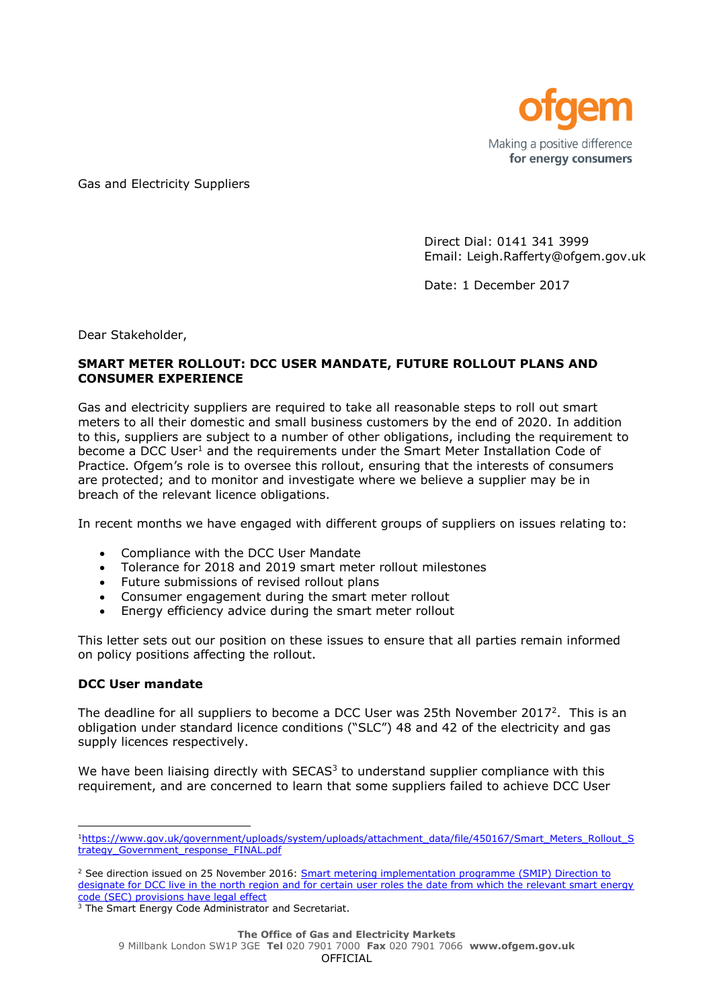

Gas and Electricity Suppliers

Direct Dial: 0141 341 3999 Email: Leigh.Rafferty@ofgem.gov.uk

Date: 1 December 2017

Dear Stakeholder,

## **SMART METER ROLLOUT: DCC USER MANDATE, FUTURE ROLLOUT PLANS AND CONSUMER EXPERIENCE**

Gas and electricity suppliers are required to take all reasonable steps to roll out smart meters to all their domestic and small business customers by the end of 2020. In addition to this, suppliers are subject to a number of other obligations, including the requirement to become a DCC User<sup>1</sup> and the requirements under the Smart Meter Installation Code of Practice. Ofgem's role is to oversee this rollout, ensuring that the interests of consumers are protected; and to monitor and investigate where we believe a supplier may be in breach of the relevant licence obligations.

In recent months we have engaged with different groups of suppliers on issues relating to:

- Compliance with the DCC User Mandate
- Tolerance for 2018 and 2019 smart meter rollout milestones
- Future submissions of revised rollout plans
- Consumer engagement during the smart meter rollout
- Energy efficiency advice during the smart meter rollout

This letter sets out our position on these issues to ensure that all parties remain informed on policy positions affecting the rollout.

#### **DCC User mandate**

The deadline for all suppliers to become a DCC User was 25th November 2017<sup>2</sup>. This is an obligation under standard licence conditions ("SLC") 48 and 42 of the electricity and gas supply licences respectively.

We have been liaising directly with  $SECAS<sup>3</sup>$  to understand supplier compliance with this requirement, and are concerned to learn that some suppliers failed to achieve DCC User

<sup>1</sup>[https://www.gov.uk/government/uploads/system/uploads/attachment\\_data/file/450167/Smart\\_Meters\\_Rollout\\_S](https://www.gov.uk/government/uploads/system/uploads/attachment_data/file/450167/Smart_Meters_Rollout_Strategy_Government_response_FINAL.pdf) [trategy\\_Government\\_response\\_FINAL.pdf](https://www.gov.uk/government/uploads/system/uploads/attachment_data/file/450167/Smart_Meters_Rollout_Strategy_Government_response_FINAL.pdf)

 $<sup>2</sup>$  See direction issued on 25 November 2016: Smart metering implementation programme (SMIP) Direction to</sup> designate for DCC live in the north region and for certain user roles the date from which the relevant smart energy [code \(SEC\) provisions have legal effect](https://www.smartdcc.co.uk/media/410867/20161125_dcc_live_north_direction.pdf)

<sup>&</sup>lt;sup>3</sup> The Smart Energy Code Administrator and Secretariat.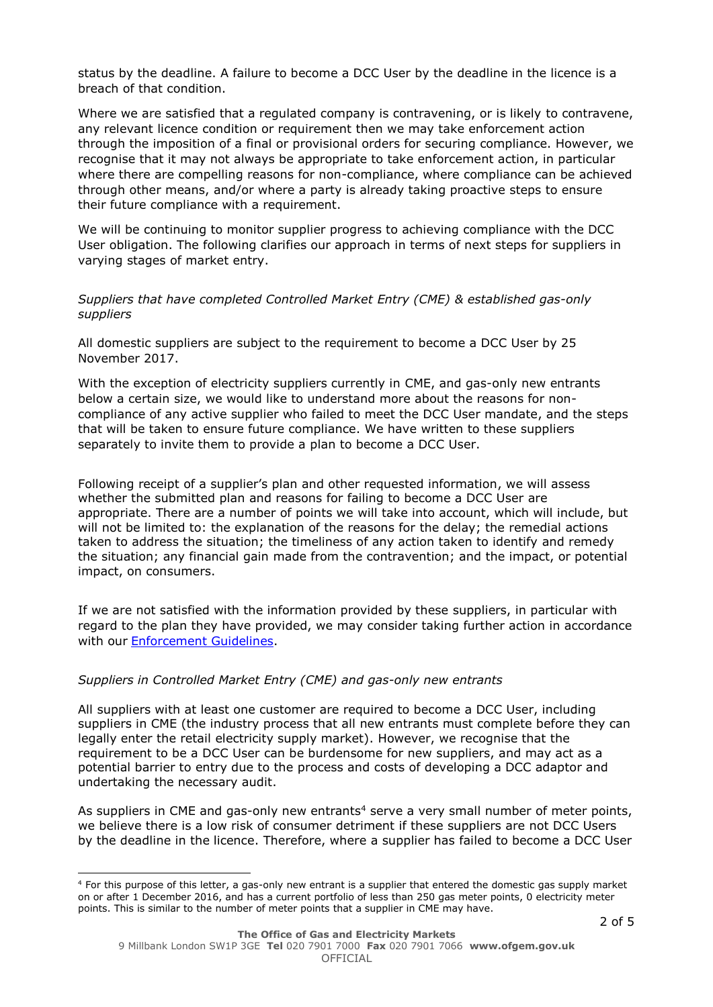status by the deadline. A failure to become a DCC User by the deadline in the licence is a breach of that condition.

Where we are satisfied that a regulated company is contravening, or is likely to contravene, any relevant licence condition or requirement then we may take enforcement action through the imposition of a final or provisional orders for securing compliance. However, we recognise that it may not always be appropriate to take enforcement action, in particular where there are compelling reasons for non-compliance, where compliance can be achieved through other means, and/or where a party is already taking proactive steps to ensure their future compliance with a requirement.

We will be continuing to monitor supplier progress to achieving compliance with the DCC User obligation. The following clarifies our approach in terms of next steps for suppliers in varying stages of market entry.

### *Suppliers that have completed Controlled Market Entry (CME) & established gas-only suppliers*

All domestic suppliers are subject to the requirement to become a DCC User by 25 November 2017.

With the exception of electricity suppliers currently in CME, and gas-only new entrants below a certain size, we would like to understand more about the reasons for noncompliance of any active supplier who failed to meet the DCC User mandate, and the steps that will be taken to ensure future compliance. We have written to these suppliers separately to invite them to provide a plan to become a DCC User.

Following receipt of a supplier's plan and other requested information, we will assess whether the submitted plan and reasons for failing to become a DCC User are appropriate. There are a number of points we will take into account, which will include, but will not be limited to: the explanation of the reasons for the delay; the remedial actions taken to address the situation; the timeliness of any action taken to identify and remedy the situation; any financial gain made from the contravention; and the impact, or potential impact, on consumers.

If we are not satisfied with the information provided by these suppliers, in particular with regard to the plan they have provided, we may consider taking further action in accordance with our [Enforcement Guidelines.](https://www.ofgem.gov.uk/system/files/docs/2016/12/enforcement_guidelines.pdf)

#### *Suppliers in Controlled Market Entry (CME) and gas-only new entrants*

1

All suppliers with at least one customer are required to become a DCC User, including suppliers in CME (the industry process that all new entrants must complete before they can legally enter the retail electricity supply market). However, we recognise that the requirement to be a DCC User can be burdensome for new suppliers, and may act as a potential barrier to entry due to the process and costs of developing a DCC adaptor and undertaking the necessary audit.

As suppliers in CME and gas-only new entrants<sup>4</sup> serve a very small number of meter points, we believe there is a low risk of consumer detriment if these suppliers are not DCC Users by the deadline in the licence. Therefore, where a supplier has failed to become a DCC User

<sup>&</sup>lt;sup>4</sup> For this purpose of this letter, a gas-only new entrant is a supplier that entered the domestic gas supply market on or after 1 December 2016, and has a current portfolio of less than 250 gas meter points, 0 electricity meter points. This is similar to the number of meter points that a supplier in CME may have.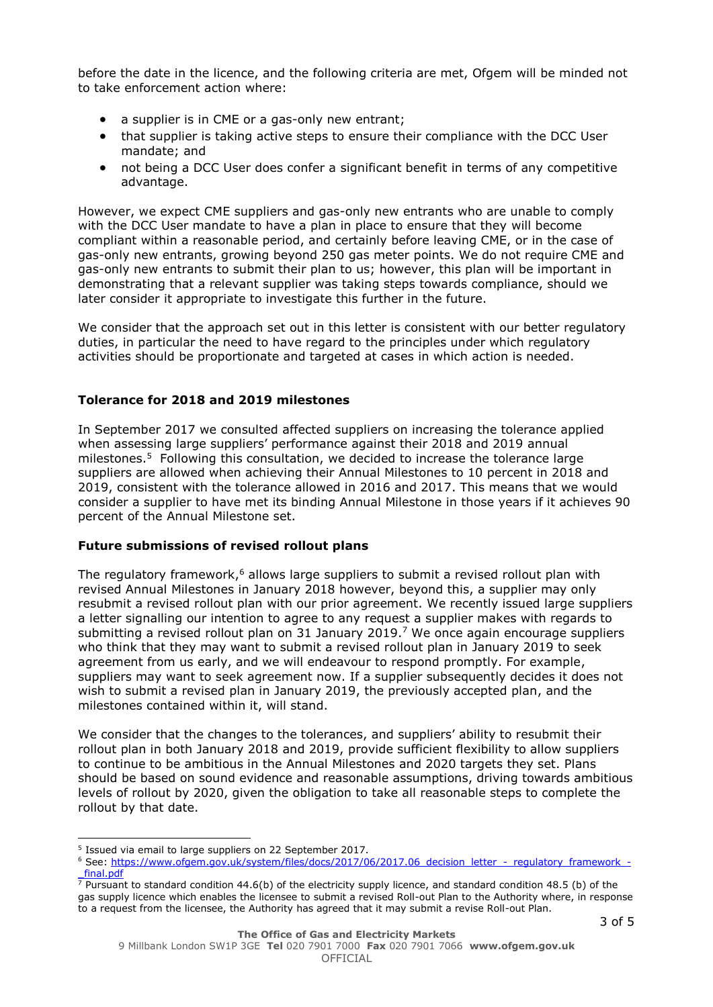before the date in the licence, and the following criteria are met, Ofgem will be minded not to take enforcement action where:

- a supplier is in CME or a gas-only new entrant;
- that supplier is taking active steps to ensure their compliance with the DCC User mandate; and
- not being a DCC User does confer a significant benefit in terms of any competitive advantage.

However, we expect CME suppliers and gas-only new entrants who are unable to comply with the DCC User mandate to have a plan in place to ensure that they will become compliant within a reasonable period, and certainly before leaving CME, or in the case of gas-only new entrants, growing beyond 250 gas meter points. We do not require CME and gas-only new entrants to submit their plan to us; however, this plan will be important in demonstrating that a relevant supplier was taking steps towards compliance, should we later consider it appropriate to investigate this further in the future.

We consider that the approach set out in this letter is consistent with our better regulatory duties, in particular the need to have regard to the principles under which regulatory activities should be proportionate and targeted at cases in which action is needed.

## **Tolerance for 2018 and 2019 milestones**

In September 2017 we consulted affected suppliers on increasing the tolerance applied when assessing large suppliers' performance against their 2018 and 2019 annual milestones. 5 Following this consultation, we decided to increase the tolerance large suppliers are allowed when achieving their Annual Milestones to 10 percent in 2018 and 2019, consistent with the tolerance allowed in 2016 and 2017. This means that we would consider a supplier to have met its binding Annual Milestone in those years if it achieves 90 percent of the Annual Milestone set.

#### **Future submissions of revised rollout plans**

The regulatory framework,<sup>6</sup> allows large suppliers to submit a revised rollout plan with revised Annual Milestones in January 2018 however, beyond this, a supplier may only resubmit a revised rollout plan with our prior agreement. We recently issued large suppliers a letter signalling our intention to agree to any request a supplier makes with regards to submitting a revised rollout plan on 31 January 2019.7 We once again encourage suppliers who think that they may want to submit a revised rollout plan in January 2019 to seek agreement from us early, and we will endeavour to respond promptly. For example, suppliers may want to seek agreement now. If a supplier subsequently decides it does not wish to submit a revised plan in January 2019, the previously accepted plan, and the milestones contained within it, will stand.

We consider that the changes to the tolerances, and suppliers' ability to resubmit their rollout plan in both January 2018 and 2019, provide sufficient flexibility to allow suppliers to continue to be ambitious in the Annual Milestones and 2020 targets they set. Plans should be based on sound evidence and reasonable assumptions, driving towards ambitious levels of rollout by 2020, given the obligation to take all reasonable steps to complete the rollout by that date.

<sup>5</sup> Issued via email to large suppliers on 22 September 2017.

<sup>6</sup> See: [https://www.ofgem.gov.uk/system/files/docs/2017/06/2017.06\\_decision\\_letter\\_-\\_regulatory\\_framework\\_](https://www.ofgem.gov.uk/system/files/docs/2017/06/2017.06_decision_letter_-_regulatory_framework_-_final.pdf) final.pdf

 $\frac{7 \text{ Pursuant to standard condition } 44.6(b)$  of the electricity supply licence, and standard condition 48.5 (b) of the gas supply licence which enables the licensee to submit a revised Roll-out Plan to the Authority where, in response to a request from the licensee, the Authority has agreed that it may submit a revise Roll-out Plan.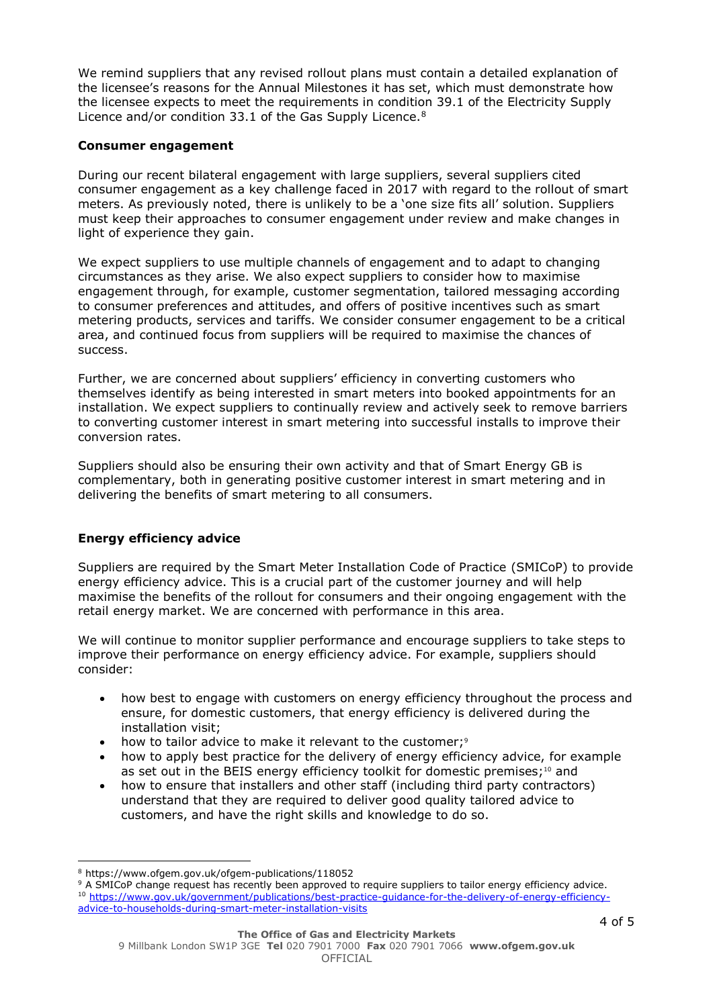We remind suppliers that any revised rollout plans must contain a detailed explanation of the licensee's reasons for the Annual Milestones it has set, which must demonstrate how the licensee expects to meet the requirements in condition 39.1 of the Electricity Supply Licence and/or condition 33.1 of the Gas Supply Licence.<sup>8</sup>

## **Consumer engagement**

During our recent bilateral engagement with large suppliers, several suppliers cited consumer engagement as a key challenge faced in 2017 with regard to the rollout of smart meters. As previously noted, there is unlikely to be a 'one size fits all' solution. Suppliers must keep their approaches to consumer engagement under review and make changes in light of experience they gain.

We expect suppliers to use multiple channels of engagement and to adapt to changing circumstances as they arise. We also expect suppliers to consider how to maximise engagement through, for example, customer segmentation, tailored messaging according to consumer preferences and attitudes, and offers of positive incentives such as smart metering products, services and tariffs. We consider consumer engagement to be a critical area, and continued focus from suppliers will be required to maximise the chances of success.

Further, we are concerned about suppliers' efficiency in converting customers who themselves identify as being interested in smart meters into booked appointments for an installation. We expect suppliers to continually review and actively seek to remove barriers to converting customer interest in smart metering into successful installs to improve their conversion rates.

Suppliers should also be ensuring their own activity and that of Smart Energy GB is complementary, both in generating positive customer interest in smart metering and in delivering the benefits of smart metering to all consumers.

# **Energy efficiency advice**

Suppliers are required by the Smart Meter Installation Code of Practice (SMICoP) to provide energy efficiency advice. This is a crucial part of the customer journey and will help maximise the benefits of the rollout for consumers and their ongoing engagement with the retail energy market. We are concerned with performance in this area.

We will continue to monitor supplier performance and encourage suppliers to take steps to improve their performance on energy efficiency advice. For example, suppliers should consider:

- how best to engage with customers on energy efficiency throughout the process and ensure, for domestic customers, that energy efficiency is delivered during the installation visit;
- how to tailor advice to make it relevant to the customer;<sup>9</sup>
- how to apply best practice for the delivery of energy efficiency advice, for example as set out in the BEIS energy efficiency toolkit for domestic premises;<sup>10</sup> and
- how to ensure that installers and other staff (including third party contractors) understand that they are required to deliver good quality tailored advice to customers, and have the right skills and knowledge to do so.

 <sup>8</sup> https://www.ofgem.gov.uk/ofgem-publications/118052

<sup>&</sup>lt;sup>9</sup> A SMICoP change request has recently been approved to require suppliers to tailor energy efficiency advice. <sup>10</sup> [https://www.gov.uk/government/publications/best-practice-guidance-for-the-delivery-of-energy-efficiency](https://www.gov.uk/government/publications/best-practice-guidance-for-the-delivery-of-energy-efficiency-advice-to-households-during-smart-meter-installation-visits)[advice-to-households-during-smart-meter-installation-visits](https://www.gov.uk/government/publications/best-practice-guidance-for-the-delivery-of-energy-efficiency-advice-to-households-during-smart-meter-installation-visits)